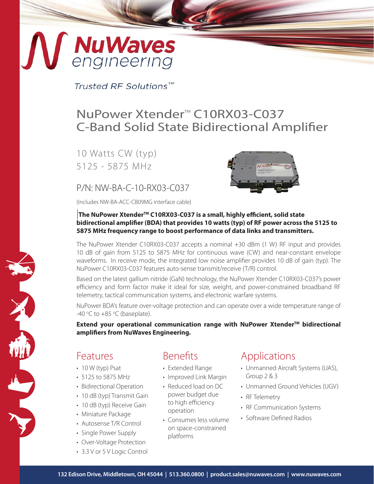# **NG NuWaves**

Trusted RF Solutions™

## NuPower Xtender<sup>™</sup> C10RX03-C037 C-Band Solid State Bidirectional Amplifier

10 Watts CW (typ) 5125 - 5875 MHz

#### P/N: NW-BA-C-10-RX03-C037

(Includes NW-BA-ACC-CB09MG interface cable)



#### |**The NuPower XtenderTM C10RX03-C037 is a small, highly efficient, solid state bidirectional amplifier (BDA) that provides 10 watts (typ) of RF power across the 5125 to 5875 MHz frequency range to boost performance of data links and transmitters.**

The NuPower Xtender C10RX03-C037 accepts a nominal +30 dBm (1 W) RF input and provides 10 dB of gain from 5125 to 5875 MHz for continuous wave (CW) and near-constant envelope waveforms. In receive mode, the integrated low noise amplifier provides 10 dB of gain (typ). The NuPower C10RX03-C037 features auto-sense transmit/receive (T/R) control.

Based on the latest gallium nitride (GaN) technology, the NuPower Xtender C10RX03-C037's power efficiency and form factor make it ideal for size, weight, and power-constrained broadband RF telemetry, tactical communication systems, and electronic warfare systems.

NuPower BDA's feature over-voltage protection and can operate over a wide temperature range of -40 °C to  $+85$  °C (baseplate).

**Extend your operational communication range with NuPower Xtender™ bidirectional amplifiers from NuWaves Engineering.**

#### Features

X

- $\cdot$  10 W (typ) Psat
- 5125 to 5875 MHz
- Bidirectional Operation
- 10 dB (typ) Transmit Gain
- 10 dB (typ) Receive Gain
- Miniature Package
- Autosense T/R Control
- Single Power Supply
- Over-Voltage Protection
- 3.3 V or 5 V Logic Control

## **Benefits**

- Extended Range
- Improved Link Margin
- Reduced load on DC power budget due to high efficiency operation
- Consumes less volume on space-constrained platforms

#### Applications

- Unmanned Aircraft Systems (UAS), Group 2 & 3
- Unmanned Ground Vehicles (UGV)
- RF Telemetry
- RF Communication Systems
- Software Defined Radios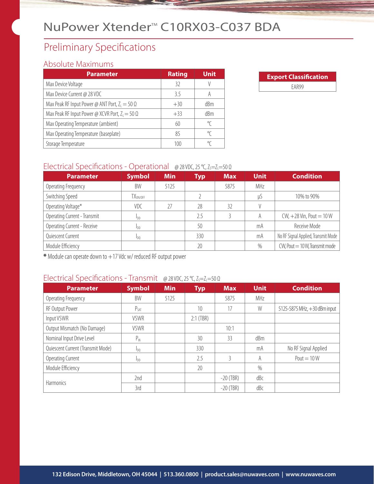## NuPower Xtender™ C10RX03-C037 BDA

## Preliminary Specifications

#### Absolute Maximums

| <b>Parameter</b>                                       | <b>Rating</b> | <b>Unit</b> |
|--------------------------------------------------------|---------------|-------------|
| Max Device Voltage                                     | 32            |             |
| Max Device Current @ 28 VDC                            | 3.5           | A           |
| Max Peak RF Input Power @ ANT Port, $Z_1 = 50 \Omega$  | $+30$         | dBm         |
| Max Peak RF Input Power @ XCVR Port, $Z_1 = 50 \Omega$ | $+33$         | dBm         |
| Max Operating Temperature (ambient)                    | 60            | °C          |
| Max Operating Temperature (baseplate)                  | 85            | °C          |
| Storage Temperature                                    | 100           | °C          |

| <b>Export Classification</b> |  |  |  |  |
|------------------------------|--|--|--|--|
| FAR99                        |  |  |  |  |

#### Electrical Specifications - Operational @ 28 VDC, 25 °C, Z<sub>S</sub>=Z<sub>L</sub>=50 Ω

| <b>Parameter</b>             | <b>Symbol</b>        | <b>Min</b> | Typ | <b>Max</b> | <b>Unit</b> | <b>Condition</b>                     |
|------------------------------|----------------------|------------|-----|------------|-------------|--------------------------------------|
| Operating Frequency          | BW                   | 5125       |     | 5875       | MHz         |                                      |
| Switching Speed              | TX <sub>ON/OFF</sub> |            |     |            | μS          | 10% to 90%                           |
| Operating Voltage*           | VDC                  | 77         | 28  | 32         |             |                                      |
| Operating Current - Transmit | I <sub>DD</sub>      |            | 2.5 |            | A           | $CW, +28$ Vin, Pout = 10 W           |
| Operating Current - Receive  | <b>I</b> DD          |            | 50  |            | mA          | Receive Mode                         |
| Quiescent Current            | I <sub>DO</sub>      |            | 330 |            | mA          | No RF Signal Applied, Transmit Mode  |
| Module Efficiency            |                      |            | 20  |            | $\%$        | $CW$ , Pout $= 10 W$ , Transmit mode |

**\*** Module can operate down to +17 Vdc w/ reduced RF output power

#### Electrical Specifications - Transmit @ 28 VDC, 25 °C, Z<sub>S</sub>=Z<sub>L</sub>=50 Ω

| <b>Parameter</b>                  | <b>Symbol</b>          | <b>Min</b> | <b>Typ</b>  | <b>Max</b>  | <b>Unit</b> | <b>Condition</b>             |
|-----------------------------------|------------------------|------------|-------------|-------------|-------------|------------------------------|
| Operating Frequency               | BW                     | 5125       |             | 5875        | MHz         |                              |
| RF Output Power                   | $P_{SAT}$              |            | 10          | 17          | W           | 5125-5875 MHz, +30 dBm input |
| Input VSWR                        | <b>VSWR</b>            |            | $2:1$ (TBR) |             |             |                              |
| Output Mismatch (No Damage)       | <b>VSWR</b>            |            |             | 10:1        |             |                              |
| Nominal Input Drive Level         | P <sub>IN</sub>        |            | 30          | 33          | dBm         |                              |
| Quiescent Current (Transmit Mode) | $I_{D0}$               |            | 330         |             | mA          | No RF Signal Applied         |
| Operating Current                 | <b>I</b> <sub>DD</sub> |            | 2.5         | ξ           | A           | Pout = $10W$                 |
| Module Efficiency                 |                        |            | 20          |             | $\%$        |                              |
|                                   | 2nd                    |            |             | $-20$ (TBR) | dBc         |                              |
| <b>Harmonics</b>                  | 3rd                    |            |             | $-20$ (TBR) | dBc         |                              |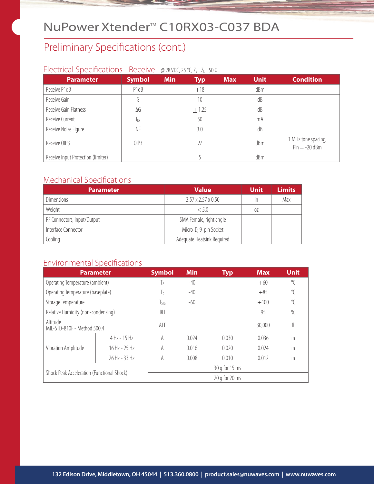## NuPower Xtender™ C10RX03-C037 BDA

## Preliminary Specifications (cont.)

#### Electrical Specifications - Receive @ 28 VDC, 25 °C, Z<sub>S</sub>=Z<sub>L</sub>=50 Ω

| <b>Parameter</b>                   | <b>Symbol</b> | <b>Min</b> | <b>Typ</b> | <b>Max</b> | <b>Unit</b> | <b>Condition</b>                       |
|------------------------------------|---------------|------------|------------|------------|-------------|----------------------------------------|
| Receive P1dB                       | P1dB          |            | $+18$      |            | dBm         |                                        |
| Receive Gain                       | l1            |            | 10         |            | dB          |                                        |
| Receive Gain Flatness              | ΔG            |            | ± 1.25     |            | dB          |                                        |
| Receive Current                    | RX            |            | 50         |            | mA          |                                        |
| Receive Noise Figure               | NF            |            | 3.0        |            | dB          |                                        |
| Receive OIP3                       | OIP3          |            | 27         |            | dBm         | 1 MHz tone spacing,<br>$Pin = -20$ dBm |
| Receive Input Protection (limiter) |               |            |            |            | dBm         |                                        |

#### Mechanical Specifications

| <b>Parameter</b>            | <b>Value</b>                   | <b>Unit</b> | <b>Limits</b> |
|-----------------------------|--------------------------------|-------------|---------------|
| <b>Dimensions</b>           | $3.57 \times 2.57 \times 0.50$ | in          | Max           |
| Weight                      | < 5.0                          | 0Z          |               |
| RF Connectors, Input/Output | SMA Female, right angle        |             |               |
| Interface Connector         | Micro-D, 9-pin Socket          |             |               |
| Cooling                     | Adequate Heatsink Required     |             |               |

#### Environmental Specifications

| <b>Parameter</b>                           |                | <b>Symbol</b> | <b>Min</b> | <b>Typ</b>         | <b>Max</b> | <b>Unit</b>  |
|--------------------------------------------|----------------|---------------|------------|--------------------|------------|--------------|
| Operating Temperature (ambient)            |                | Iа            | $-40$      |                    | $+60$      | $\sqrt{\ }$  |
| Operating Temperature (baseplate)          |                | Τc            | $-40$      |                    | $+85$      | $\sqrt{\ }$  |
| Storage Temperature                        |                | $\frac{1}{5}$ | $-60$      |                    | $+100$     | $\mathrm{C}$ |
| Relative Humidity (non-condensing)         |                | RH            |            |                    | 95         | $\%$         |
| Altitude<br>MIL-STD-810F - Method 500.4    |                | ALT           |            |                    | 30,000     | ft           |
|                                            | $4$ Hz - 15 Hz | A             | 0.024      | 0.030              | 0.036      | in           |
| Vibration Amplitude                        | 16 Hz - 25 Hz  | A             | 0.016      | 0.020              | 0.024      | in           |
|                                            | 26 Hz - 33 Hz  | A             | 0.008      | 0.010              | 0.012      | in           |
| Shock Peak Acceleration (Functional Shock) |                |               |            | 30 g for 15 ms     |            |              |
|                                            |                |               |            | $20$ g for $20$ ms |            |              |